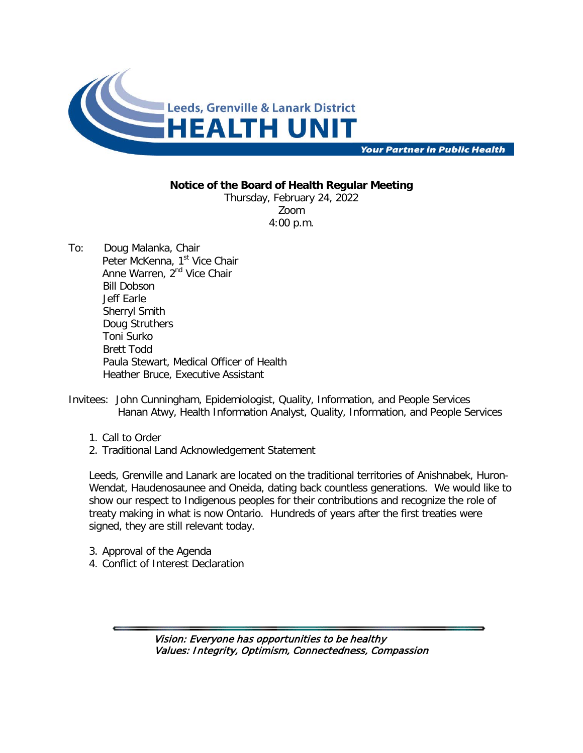

**Your Partner in Public Health** 

## **Notice of the Board of Health Regular Meeting**

Thursday, February 24, 2022 Zoom 4:00 p.m.

- To: Doug Malanka, Chair Peter McKenna, 1<sup>st</sup> Vice Chair Anne Warren, 2<sup>nd</sup> Vice Chair Bill Dobson Jeff Earle Sherryl Smith Doug Struthers Toni Surko Brett Todd Paula Stewart, Medical Officer of Health Heather Bruce, Executive Assistant
- Invitees: John Cunningham, Epidemiologist, Quality, Information, and People Services Hanan Atwy, Health Information Analyst, Quality, Information, and People Services
	- 1. Call to Order
	- 2. Traditional Land Acknowledgement Statement

Leeds, Grenville and Lanark are located on the traditional territories of Anishnabek, Huron-Wendat, Haudenosaunee and Oneida, dating back countless generations. We would like to show our respect to Indigenous peoples for their contributions and recognize the role of treaty making in what is now Ontario. Hundreds of years after the first treaties were signed, they are still relevant today.

- 3. Approval of the Agenda
- 4. Conflict of Interest Declaration

Vision: Everyone has opportunities to be healthy Values: Integrity, Optimism, Connectedness, Compassion